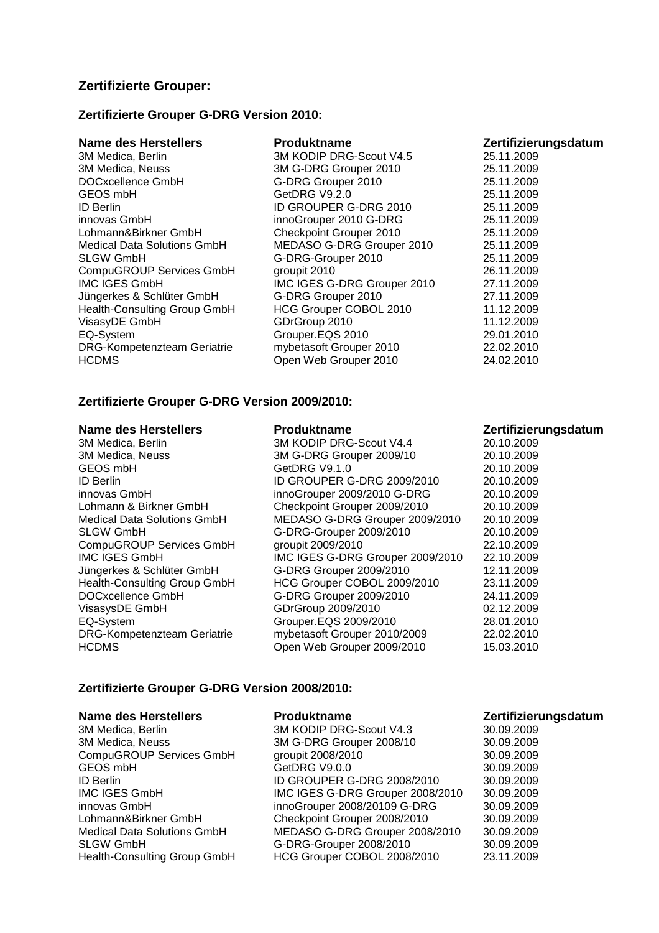# **Zertifizierte Grouper:**

## **Zertifizierte Grouper G-DRG Version 2010:**

| <b>Produktname</b>          | Zertifizierungsdatum |
|-----------------------------|----------------------|
| 3M KODIP DRG-Scout V4.5     | 25.11.2009           |
| 3M G-DRG Grouper 2010       | 25.11.2009           |
| G-DRG Grouper 2010          | 25.11.2009           |
| GetDRG V9.2.0               | 25.11.2009           |
| ID GROUPER G-DRG 2010       | 25.11.2009           |
| innoGrouper 2010 G-DRG      | 25.11.2009           |
| Checkpoint Grouper 2010     | 25.11.2009           |
| MEDASO G-DRG Grouper 2010   | 25.11.2009           |
| G-DRG-Grouper 2010          | 25.11.2009           |
| groupit 2010                | 26.11.2009           |
| IMC IGES G-DRG Grouper 2010 | 27.11.2009           |
| G-DRG Grouper 2010          | 27.11.2009           |
| HCG Grouper COBOL 2010      | 11.12.2009           |
| GDrGroup 2010               | 11.12.2009           |
| Grouper.EQS 2010            | 29.01.2010           |
| mybetasoft Grouper 2010     | 22.02.2010           |
| Open Web Grouper 2010       | 24.02.2010           |
|                             |                      |

## **Zertifizierte Grouper G-DRG Version 2009/2010:**

| 3M Medica, Berlin                  | 3M KODIP DRG-Scout V4.4          | 20.10.2009 |
|------------------------------------|----------------------------------|------------|
| 3M Medica, Neuss                   | 3M G-DRG Grouper 2009/10         | 20.10.2009 |
| GEOS mbH                           | GetDRG V9.1.0                    | 20.10.2009 |
| <b>ID Berlin</b>                   | ID GROUPER G-DRG 2009/2010       | 20.10.2009 |
| innovas GmbH                       | innoGrouper 2009/2010 G-DRG      | 20.10.2009 |
| Lohmann & Birkner GmbH             | Checkpoint Grouper 2009/2010     | 20.10.2009 |
| <b>Medical Data Solutions GmbH</b> | MEDASO G-DRG Grouper 2009/2010   | 20.10.2009 |
| <b>SLGW GmbH</b>                   | G-DRG-Grouper 2009/2010          | 20.10.2009 |
| CompuGROUP Services GmbH           | groupit 2009/2010                | 22.10.2009 |
| <b>IMC IGES GmbH</b>               | IMC IGES G-DRG Grouper 2009/2010 | 22.10.2009 |
| Jüngerkes & Schlüter GmbH          | G-DRG Grouper 2009/2010          | 12.11.2009 |
| Health-Consulting Group GmbH       | HCG Grouper COBOL 2009/2010      | 23.11.2009 |
| DOCxcellence GmbH                  | G-DRG Grouper 2009/2010          | 24.11.2009 |
| VisasysDE GmbH                     | GDrGroup 2009/2010               | 02.12.2009 |
| EQ-System                          | Grouper.EQS 2009/2010            | 28.01.2010 |
| DRG-Kompetenzteam Geriatrie        | mybetasoft Grouper 2010/2009     | 22.02.2010 |
| <b>HCDMS</b>                       | Open Web Grouper 2009/2010       | 15.03.2010 |

### Name des Herstellers **Produktname Produktname Zertifizierungsdatum**

## **Zertifizierte Grouper G-DRG Version 2008/2010:**

### Name des Herstellers **Produktname Produktname Zertifizierungsdatum**

| 3M Medica, Berlin                  | 3M KODIP DRG-Scout V4.3          | 30.09.2009 |
|------------------------------------|----------------------------------|------------|
| 3M Medica, Neuss                   | 3M G-DRG Grouper 2008/10         | 30.09.2009 |
| CompuGROUP Services GmbH           | groupit 2008/2010                | 30.09.2009 |
| GEOS mbH                           | GetDRG V9.0.0                    | 30.09.2009 |
| <b>ID Berlin</b>                   | ID GROUPER G-DRG 2008/2010       | 30.09.2009 |
| <b>IMC IGES GmbH</b>               | IMC IGES G-DRG Grouper 2008/2010 | 30.09.2009 |
| innovas GmbH                       | innoGrouper 2008/20109 G-DRG     | 30.09.2009 |
| Lohmann&Birkner GmbH               | Checkpoint Grouper 2008/2010     | 30.09.2009 |
| <b>Medical Data Solutions GmbH</b> | MEDASO G-DRG Grouper 2008/2010   | 30.09.2009 |
| <b>SLGW GmbH</b>                   | G-DRG-Grouper 2008/2010          | 30.09.2009 |
| Health-Consulting Group GmbH       | HCG Grouper COBOL 2008/2010      | 23.11.2009 |